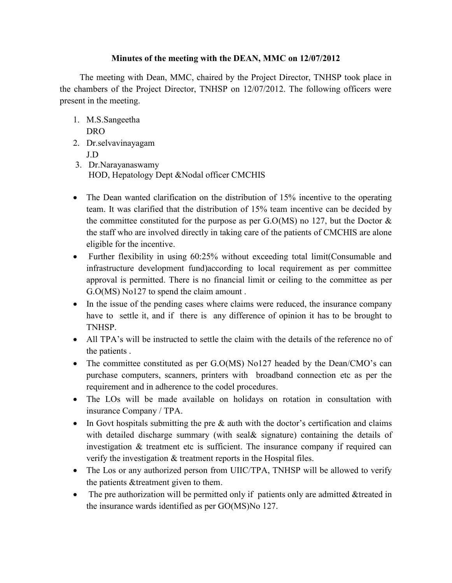## **Minutes of the meeting with the DEAN, MMC on 12/07/2012**

The meeting with Dean, MMC, chaired by the Project Director, TNHSP took place in the chambers of the Project Director, TNHSP on 12/07/2012. The following officers were present in the meeting.

- 1. M.S.Sangeetha DRO
- 2. Dr.selvavinayagam J.D
- 3. Dr.Narayanaswamy HOD, Hepatology Dept &Nodal officer CMCHIS
- The Dean wanted clarification on the distribution of 15% incentive to the operating team. It was clarified that the distribution of 15% team incentive can be decided by the committee constituted for the purpose as per  $G.O(MS)$  no 127, but the Doctor  $&$ the staff who are involved directly in taking care of the patients of CMCHIS are alone eligible for the incentive.
- Further flexibility in using 60:25% without exceeding total limit (Consumable and infrastructure development fund)according to local requirement as per committee approval is permitted. There is no financial limit or ceiling to the committee as per G.O(MS) No127 to spend the claim amount .
- In the issue of the pending cases where claims were reduced, the insurance company have to settle it, and if there is any difference of opinion it has to be brought to TNHSP.
- All TPA's will be instructed to settle the claim with the details of the reference no of the patients .
- The committee constituted as per G.O(MS) No127 headed by the Dean/CMO's can purchase computers, scanners, printers with broadband connection etc as per the requirement and in adherence to the codel procedures.
- The LOs will be made available on holidays on rotation in consultation with insurance Company / TPA.
- $\bullet$  In Govt hospitals submitting the pre  $\&$  auth with the doctor's certification and claims with detailed discharge summary (with seal & signature) containing the details of investigation & treatment etc is sufficient. The insurance company if required can verify the investigation & treatment reports in the Hospital files.
- The Los or any authorized person from UIIC/TPA, TNHSP will be allowed to verify the patients &treatment given to them.
- The pre authorization will be permitted only if patients only are admitted &treated in the insurance wards identified as per GO(MS)No 127.